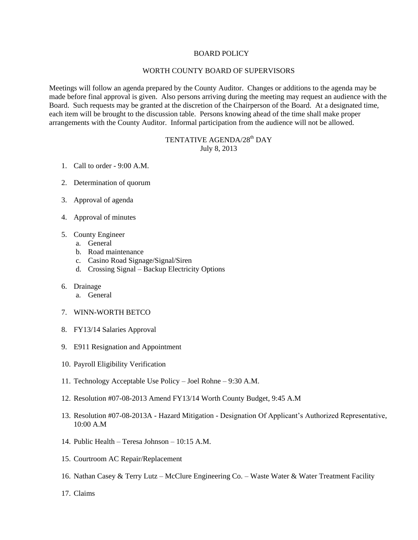## BOARD POLICY

## WORTH COUNTY BOARD OF SUPERVISORS

Meetings will follow an agenda prepared by the County Auditor. Changes or additions to the agenda may be made before final approval is given. Also persons arriving during the meeting may request an audience with the Board. Such requests may be granted at the discretion of the Chairperson of the Board. At a designated time, each item will be brought to the discussion table. Persons knowing ahead of the time shall make proper arrangements with the County Auditor. Informal participation from the audience will not be allowed.

## TENTATIVE AGENDA/28<sup>th</sup> DAY July 8, 2013

- 1. Call to order 9:00 A.M.
- 2. Determination of quorum
- 3. Approval of agenda
- 4. Approval of minutes
- 5. County Engineer
	- a. General
	- b. Road maintenance
	- c. Casino Road Signage/Signal/Siren
	- d. Crossing Signal Backup Electricity Options
- 6. Drainage
	- a. General
- 7. WINN-WORTH BETCO
- 8. FY13/14 Salaries Approval
- 9. E911 Resignation and Appointment
- 10. Payroll Eligibility Verification
- 11. Technology Acceptable Use Policy Joel Rohne 9:30 A.M.
- 12. Resolution #07-08-2013 Amend FY13/14 Worth County Budget, 9:45 A.M
- 13. Resolution #07-08-2013A Hazard Mitigation Designation Of Applicant's Authorized Representative, 10:00 A.M
- 14. Public Health Teresa Johnson 10:15 A.M.
- 15. Courtroom AC Repair/Replacement
- 16. Nathan Casey & Terry Lutz McClure Engineering Co. Waste Water & Water Treatment Facility
- 17. Claims